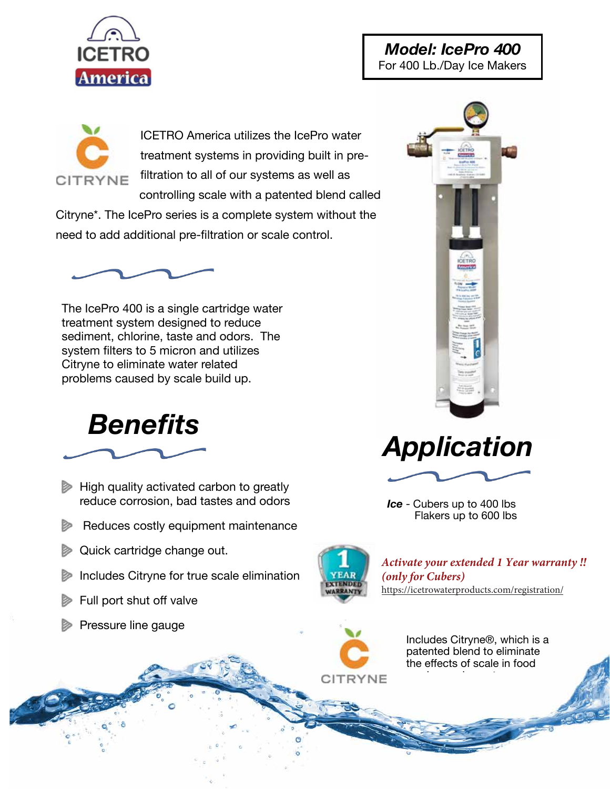

## *Model: IcePro 400*  For 400 Lb./Day Ice Makers



ICETRO America utilizes the IcePro water treatment systems in providing built in prefiltration to all of our systems as well as controlling scale with a patented blend called

Citryne\*. The IcePro series is a complete system without the need to add additional pre-filtration or scale control.



The IcePro 400 is a single cartridge water treatment system designed to reduce sediment, chlorine, taste and odors. The system filters to 5 micron and utilizes Citryne to eliminate water related problems caused by scale build up.



- $\triangleright$  High quality activated carbon to greatly reduce corrosion, bad tastes and odors
- Reduces costly equipment maintenance
- **Quick cartridge change out.**
- Includes Citryne for true scale elimination
- Full port shut off valve



*Activate your extended 1 Year warranty !!* (only for Cubers) https://icetrowaterproducts.com/registration/

*Ice* - Cubers up to 400 lbs Flakers up to 600 lbs